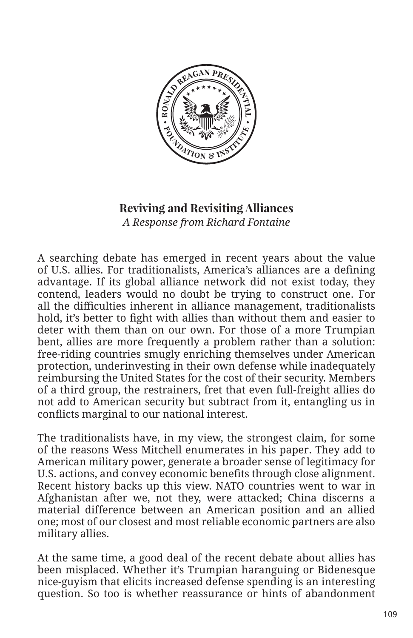

## **Reviving and Revisiting Alliances** *A Response from Richard Fontaine*

A searching debate has emerged in recent years about the value of U.S. allies. For traditionalists, America's alliances are a defining advantage. If its global alliance network did not exist today, they contend, leaders would no doubt be trying to construct one. For all the difficulties inherent in alliance management, traditionalists hold, it's better to fight with allies than without them and easier to deter with them than on our own. For those of a more Trumpian bent, allies are more frequently a problem rather than a solution: free-riding countries smugly enriching themselves under American protection, underinvesting in their own defense while inadequately reimbursing the United States for the cost of their security. Members of a third group, the restrainers, fret that even full-freight allies do not add to American security but subtract from it, entangling us in conflicts marginal to our national interest.

The traditionalists have, in my view, the strongest claim, for some of the reasons Wess Mitchell enumerates in his paper. They add to American military power, generate a broader sense of legitimacy for U.S. actions, and convey economic benefits through close alignment. Recent history backs up this view. NATO countries went to war in Afghanistan after we, not they, were attacked; China discerns a material difference between an American position and an allied one; most of our closest and most reliable economic partners are also military allies.

At the same time, a good deal of the recent debate about allies has been misplaced. Whether it's Trumpian haranguing or Bidenesque nice-guyism that elicits increased defense spending is an interesting question. So too is whether reassurance or hints of abandonment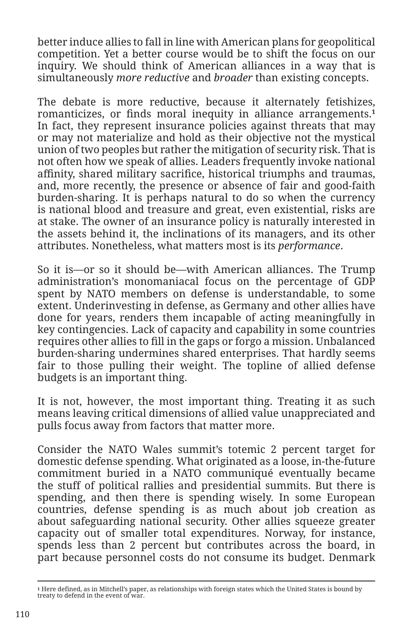better induce allies to fall in line with American plans for geopolitical competition. Yet a better course would be to shift the focus on our inquiry. We should think of American alliances in a way that is simultaneously *more reductive* and *broader* than existing concepts.

The debate is more reductive, because it alternately fetishizes, romanticizes, or finds moral inequity in alliance arrangements.**<sup>1</sup>** In fact, they represent insurance policies against threats that may or may not materialize and hold as their objective not the mystical union of two peoples but rather the mitigation of security risk. That is not often how we speak of allies. Leaders frequently invoke national affinity, shared military sacrifice, historical triumphs and traumas, and, more recently, the presence or absence of fair and good-faith burden-sharing. It is perhaps natural to do so when the currency is national blood and treasure and great, even existential, risks are at stake. The owner of an insurance policy is naturally interested in the assets behind it, the inclinations of its managers, and its other attributes. Nonetheless, what matters most is its *performance*.

So it is—or so it should be—with American alliances. The Trump administration's monomaniacal focus on the percentage of GDP spent by NATO members on defense is understandable, to some extent. Underinvesting in defense, as Germany and other allies have done for years, renders them incapable of acting meaningfully in key contingencies. Lack of capacity and capability in some countries requires other allies to fill in the gaps or forgo a mission. Unbalanced burden-sharing undermines shared enterprises. That hardly seems fair to those pulling their weight. The topline of allied defense budgets is an important thing.

It is not, however, the most important thing. Treating it as such means leaving critical dimensions of allied value unappreciated and pulls focus away from factors that matter more.

Consider the NATO Wales summit's totemic 2 percent target for domestic defense spending. What originated as a loose, in-the-future commitment buried in a NATO communiqué eventually became the stuff of political rallies and presidential summits. But there is spending, and then there is spending wisely. In some European countries, defense spending is as much about job creation as about safeguarding national security. Other allies squeeze greater capacity out of smaller total expenditures. Norway, for instance, spends less than 2 percent but contributes across the board, in part because personnel costs do not consume its budget. Denmark

**<sup>1</sup>** Here defined, as in Mitchell's paper, as relationships with foreign states which the United States is bound by treaty to defend in the event of war.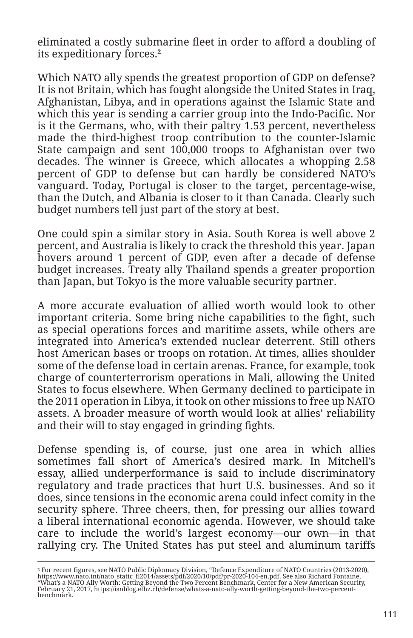eliminated a costly submarine fleet in order to afford a doubling of its expeditionary forces.**<sup>2</sup>**

Which NATO ally spends the greatest proportion of GDP on defense? It is not Britain, which has fought alongside the United States in Iraq, Afghanistan, Libya, and in operations against the Islamic State and which this year is sending a carrier group into the Indo-Pacific. Nor is it the Germans, who, with their paltry 1.53 percent, nevertheless made the third-highest troop contribution to the counter-Islamic State campaign and sent 100,000 troops to Afghanistan over two decades. The winner is Greece, which allocates a whopping 2.58 percent of GDP to defense but can hardly be considered NATO's vanguard. Today, Portugal is closer to the target, percentage-wise, than the Dutch, and Albania is closer to it than Canada. Clearly such budget numbers tell just part of the story at best.

One could spin a similar story in Asia. South Korea is well above 2 percent, and Australia is likely to crack the threshold this year. Japan hovers around 1 percent of GDP, even after a decade of defense budget increases. Treaty ally Thailand spends a greater proportion than Japan, but Tokyo is the more valuable security partner.

A more accurate evaluation of allied worth would look to other important criteria. Some bring niche capabilities to the fight, such as special operations forces and maritime assets, while others are integrated into America's extended nuclear deterrent. Still others host American bases or troops on rotation. At times, allies shoulder some of the defense load in certain arenas. France, for example, took charge of counterterrorism operations in Mali, allowing the United States to focus elsewhere. When Germany declined to participate in the 2011 operation in Libya, it took on other missions to free up NATO assets. A broader measure of worth would look at allies' reliability and their will to stay engaged in grinding fights.

Defense spending is, of course, just one area in which allies sometimes fall short of America's desired mark. In Mitchell's essay, allied underperformance is said to include discriminatory regulatory and trade practices that hurt U.S. businesses. And so it does, since tensions in the economic arena could infect comity in the security sphere. Three cheers, then, for pressing our allies toward a liberal international economic agenda. However, we should take care to include the world's largest economy—our own—in that rallying cry. The United States has put steel and aluminum tariffs

<sup>2</sup> For recent figures, see NATO Public Diplomacy Division, "Defence Expenditure of NATO Countries (2013-2020),<br>https://www.nato.int/nato\_static\_fl2014/assets/pdf/2020/10/pdf/pr-2020-104-en.pdf. See also Richard Fontaine,<br>"W February 21, 2017, https://isnblog.ethz.ch/defense/whats-a-nato-ally-worth-getting-beyond-the-two-percentbenchmark.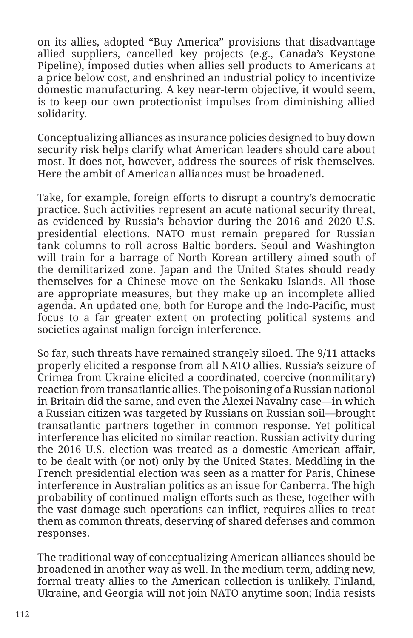on its allies, adopted "Buy America" provisions that disadvantage allied suppliers, cancelled key projects (e.g., Canada's Keystone Pipeline), imposed duties when allies sell products to Americans at a price below cost, and enshrined an industrial policy to incentivize domestic manufacturing. A key near-term objective, it would seem, is to keep our own protectionist impulses from diminishing allied solidarity.

Conceptualizing alliances as insurance policies designed to buy down security risk helps clarify what American leaders should care about most. It does not, however, address the sources of risk themselves. Here the ambit of American alliances must be broadened.

Take, for example, foreign efforts to disrupt a country's democratic practice. Such activities represent an acute national security threat, as evidenced by Russia's behavior during the 2016 and 2020 U.S. presidential elections. NATO must remain prepared for Russian tank columns to roll across Baltic borders. Seoul and Washington will train for a barrage of North Korean artillery aimed south of the demilitarized zone. Japan and the United States should ready themselves for a Chinese move on the Senkaku Islands. All those are appropriate measures, but they make up an incomplete allied agenda. An updated one, both for Europe and the Indo-Pacific, must focus to a far greater extent on protecting political systems and societies against malign foreign interference.

So far, such threats have remained strangely siloed. The 9/11 attacks properly elicited a response from all NATO allies. Russia's seizure of Crimea from Ukraine elicited a coordinated, coercive (nonmilitary) reaction from transatlantic allies. The poisoning of a Russian national in Britain did the same, and even the Alexei Navalny case—in which a Russian citizen was targeted by Russians on Russian soil—brought transatlantic partners together in common response. Yet political interference has elicited no similar reaction. Russian activity during the 2016 U.S. election was treated as a domestic American affair, to be dealt with (or not) only by the United States. Meddling in the French presidential election was seen as a matter for Paris, Chinese interference in Australian politics as an issue for Canberra. The high probability of continued malign efforts such as these, together with the vast damage such operations can inflict, requires allies to treat them as common threats, deserving of shared defenses and common responses.

The traditional way of conceptualizing American alliances should be broadened in another way as well. In the medium term, adding new, formal treaty allies to the American collection is unlikely. Finland, Ukraine, and Georgia will not join NATO anytime soon; India resists